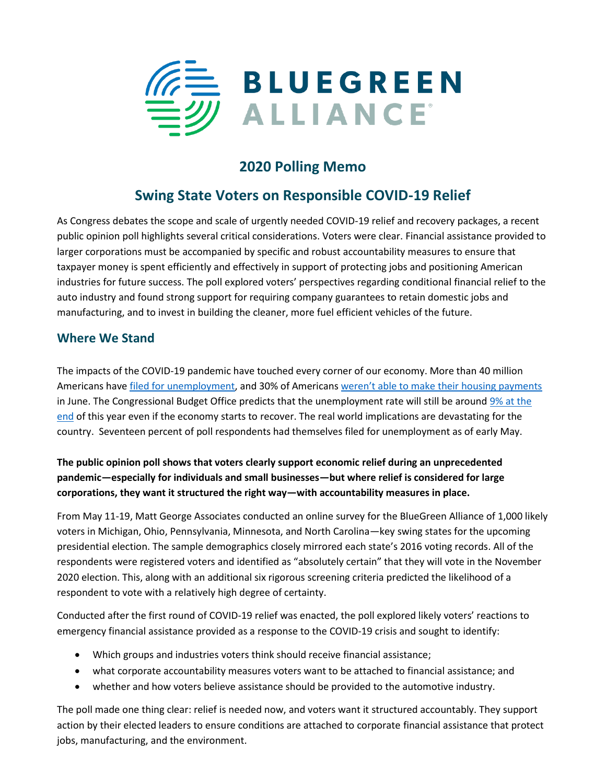

# **2020 Polling Memo**

# **Swing State Voters on Responsible COVID-19 Relief**

As Congress debates the scope and scale of urgently needed COVID-19 relief and recovery packages, a recent public opinion poll highlights several critical considerations. Voters were clear. Financial assistance provided to larger corporations must be accompanied by specific and robust accountability measures to ensure that taxpayer money is spent efficiently and effectively in support of protecting jobs and positioning American industries for future success. The poll explored voters' perspectives regarding conditional financial relief to the auto industry and found strong support for requiring company guarantees to retain domestic jobs and manufacturing, and to invest in building the cleaner, more fuel efficient vehicles of the future.

## **Where We Stand**

The impacts of the COVID-19 pandemic have touched every corner of our economy. More than 40 million Americans have *filed for unemployment*, and 30% of Americans [weren't able to make their housing payments](https://www.cnbc.com/2020/06/16/30percent-of-americans-missed-their-housing-payments-in-june.html) in June. The Congressional Budget Office predicts that the unemployment rate will still be around [9% at the](https://www.businessinsider.com/cbo-estimates-unemployment-2021-9-percent-2020-4)  [end](https://www.businessinsider.com/cbo-estimates-unemployment-2021-9-percent-2020-4) of this year even if the economy starts to recover. The real world implications are devastating for the country. Seventeen percent of poll respondents had themselves filed for unemployment as of early May.

## **The public opinion poll shows that voters clearly support economic relief during an unprecedented pandemic—especially for individuals and small businesses—but where relief is considered for large corporations, they want it structured the right way—with accountability measures in place.**

From May 11-19, Matt George Associates conducted an online survey for the BlueGreen Alliance of 1,000 likely voters in Michigan, Ohio, Pennsylvania, Minnesota, and North Carolina—key swing states for the upcoming presidential election. The sample demographics closely mirrored each state's 2016 voting records. All of the respondents were registered voters and identified as "absolutely certain" that they will vote in the November 2020 election. This, along with an additional six rigorous screening criteria predicted the likelihood of a respondent to vote with a relatively high degree of certainty.

Conducted after the first round of COVID-19 relief was enacted, the poll explored likely voters' reactions to emergency financial assistance provided as a response to the COVID-19 crisis and sought to identify:

- Which groups and industries voters think should receive financial assistance;
- what corporate accountability measures voters want to be attached to financial assistance; and
- whether and how voters believe assistance should be provided to the automotive industry.

The poll made one thing clear: relief is needed now, and voters want it structured accountably. They support action by their elected leaders to ensure conditions are attached to corporate financial assistance that protect jobs, manufacturing, and the environment.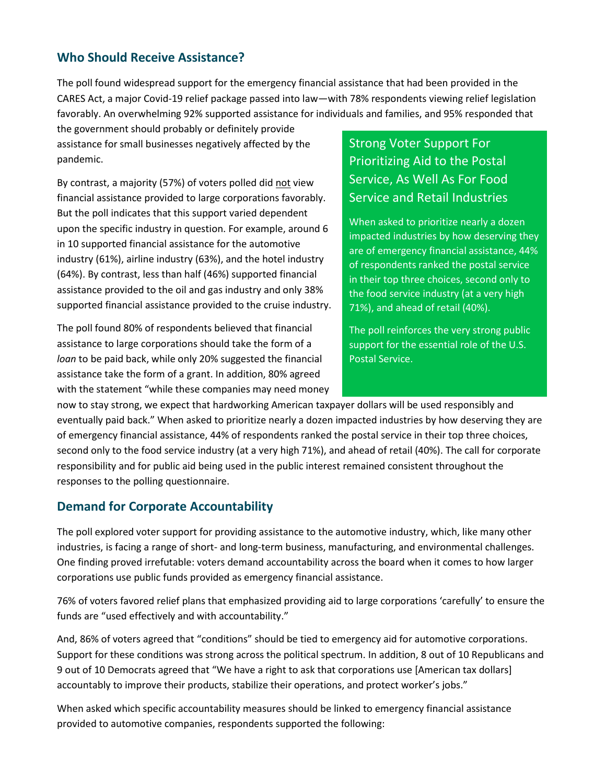## **Who Should Receive Assistance?**

The poll found widespread support for the emergency financial assistance that had been provided in the CARES Act, a major Covid-19 relief package passed into law—with 78% respondents viewing relief legislation favorably. An overwhelming 92% supported assistance for individuals and families, and 95% responded that

the government should probably or definitely provide assistance for small businesses negatively affected by the pandemic.

By contrast, a majority (57%) of voters polled did not view financial assistance provided to large corporations favorably. But the poll indicates that this support varied dependent upon the specific industry in question. For example, around 6 in 10 supported financial assistance for the automotive industry (61%), airline industry (63%), and the hotel industry (64%). By contrast, less than half (46%) supported financial assistance provided to the oil and gas industry and only 38% supported financial assistance provided to the cruise industry.

The poll found 80% of respondents believed that financial assistance to large corporations should take the form of a *loan* to be paid back, while only 20% suggested the financial assistance take the form of a grant. In addition, 80% agreed with the statement "while these companies may need money Strong Voter Support For Prioritizing Aid to the Postal Service, As Well As For Food Service and Retail Industries

When asked to prioritize nearly a dozen impacted industries by how deserving they are of emergency financial assistance, 44% of respondents ranked the postal service in their top three choices, second only to the food service industry (at a very high 71%), and ahead of retail (40%).

The poll reinforces the very strong public support for the essential role of the U.S. Postal Service.

now to stay strong, we expect that hardworking American taxpayer dollars will be used responsibly and eventually paid back." When asked to prioritize nearly a dozen impacted industries by how deserving they are of emergency financial assistance, 44% of respondents ranked the postal service in their top three choices, second only to the food service industry (at a very high 71%), and ahead of retail (40%). The call for corporate responsibility and for public aid being used in the public interest remained consistent throughout the responses to the polling questionnaire.

## **Demand for Corporate Accountability**

The poll explored voter support for providing assistance to the automotive industry, which, like many other industries, is facing a range of short- and long-term business, manufacturing, and environmental challenges. One finding proved irrefutable: voters demand accountability across the board when it comes to how larger corporations use public funds provided as emergency financial assistance.

76% of voters favored relief plans that emphasized providing aid to large corporations 'carefully' to ensure the funds are "used effectively and with accountability."

And, 86% of voters agreed that "conditions" should be tied to emergency aid for automotive corporations. Support for these conditions was strong across the political spectrum. In addition, 8 out of 10 Republicans and 9 out of 10 Democrats agreed that "We have a right to ask that corporations use [American tax dollars] accountably to improve their products, stabilize their operations, and protect worker's jobs."

When asked which specific accountability measures should be linked to emergency financial assistance provided to automotive companies, respondents supported the following: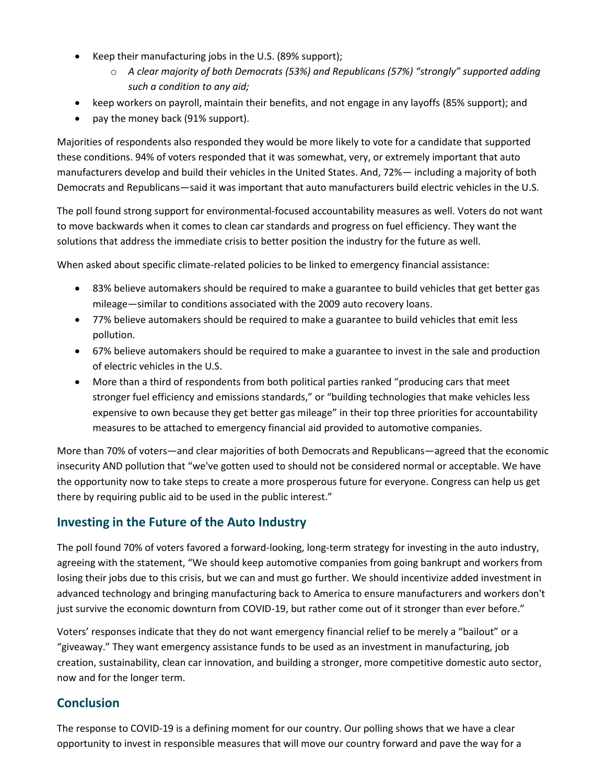- Keep their manufacturing jobs in the U.S. (89% support);
	- o *A clear majority of both Democrats (53%) and Republicans (57%) "strongly" supported adding such a condition to any aid;*
- keep workers on payroll, maintain their benefits, and not engage in any layoffs (85% support); and
- pay the money back (91% support).

Majorities of respondents also responded they would be more likely to vote for a candidate that supported these conditions. 94% of voters responded that it was somewhat, very, or extremely important that auto manufacturers develop and build their vehicles in the United States. And, 72%— including a majority of both Democrats and Republicans—said it was important that auto manufacturers build electric vehicles in the U.S.

The poll found strong support for environmental-focused accountability measures as well. Voters do not want to move backwards when it comes to clean car standards and progress on fuel efficiency. They want the solutions that address the immediate crisis to better position the industry for the future as well.

When asked about specific climate-related policies to be linked to emergency financial assistance:

- 83% believe automakers should be required to make a guarantee to build vehicles that get better gas mileage—similar to conditions associated with the 2009 auto recovery loans.
- 77% believe automakers should be required to make a guarantee to build vehicles that emit less pollution.
- 67% believe automakers should be required to make a guarantee to invest in the sale and production of electric vehicles in the U.S.
- More than a third of respondents from both political parties ranked "producing cars that meet stronger fuel efficiency and emissions standards," or "building technologies that make vehicles less expensive to own because they get better gas mileage" in their top three priorities for accountability measures to be attached to emergency financial aid provided to automotive companies.

More than 70% of voters—and clear majorities of both Democrats and Republicans—agreed that the economic insecurity AND pollution that "we've gotten used to should not be considered normal or acceptable. We have the opportunity now to take steps to create a more prosperous future for everyone. Congress can help us get there by requiring public aid to be used in the public interest."

## **Investing in the Future of the Auto Industry**

The poll found 70% of voters favored a forward-looking, long-term strategy for investing in the auto industry, agreeing with the statement, "We should keep automotive companies from going bankrupt and workers from losing their jobs due to this crisis, but we can and must go further. We should incentivize added investment in advanced technology and bringing manufacturing back to America to ensure manufacturers and workers don't just survive the economic downturn from COVID-19, but rather come out of it stronger than ever before."

Voters' responses indicate that they do not want emergency financial relief to be merely a "bailout" or a "giveaway." They want emergency assistance funds to be used as an investment in manufacturing, job creation, sustainability, clean car innovation, and building a stronger, more competitive domestic auto sector, now and for the longer term.

## **Conclusion**

The response to COVID-19 is a defining moment for our country. Our polling shows that we have a clear opportunity to invest in responsible measures that will move our country forward and pave the way for a